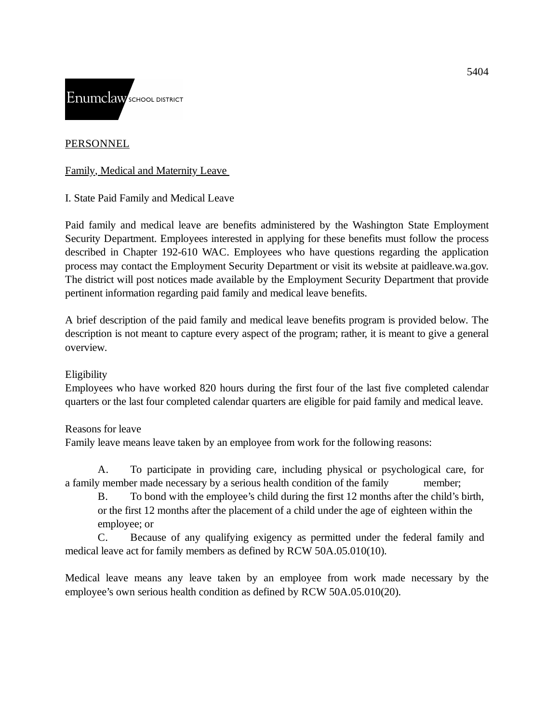

### PERSONNEL

Family, Medical and Maternity Leave

I. State Paid Family and Medical Leave

Paid family and medical leave are benefits administered by the Washington State Employment Security Department. Employees interested in applying for these benefits must follow the process described in Chapter 192-610 WAC. Employees who have questions regarding the application process may contact the Employment Security Department or visit its website at paidleave.wa.gov. The district will post notices made available by the Employment Security Department that provide pertinent information regarding paid family and medical leave benefits.

A brief description of the paid family and medical leave benefits program is provided below. The description is not meant to capture every aspect of the program; rather, it is meant to give a general overview.

### Eligibility

Employees who have worked 820 hours during the first four of the last five completed calendar quarters or the last four completed calendar quarters are eligible for paid family and medical leave.

### Reasons for leave

Family leave means leave taken by an employee from work for the following reasons:

A. To participate in providing care, including physical or psychological care, for a family member made necessary by a serious health condition of the family member;

B. To bond with the employee's child during the first 12 months after the child's birth, or the first 12 months after the placement of a child under the age of eighteen within the employee; or

C. Because of any qualifying exigency as permitted under the federal family and medical leave act for family members as defined by RCW 50A.05.010(10).

Medical leave means any leave taken by an employee from work made necessary by the employee's own serious health condition as defined by RCW 50A.05.010(20).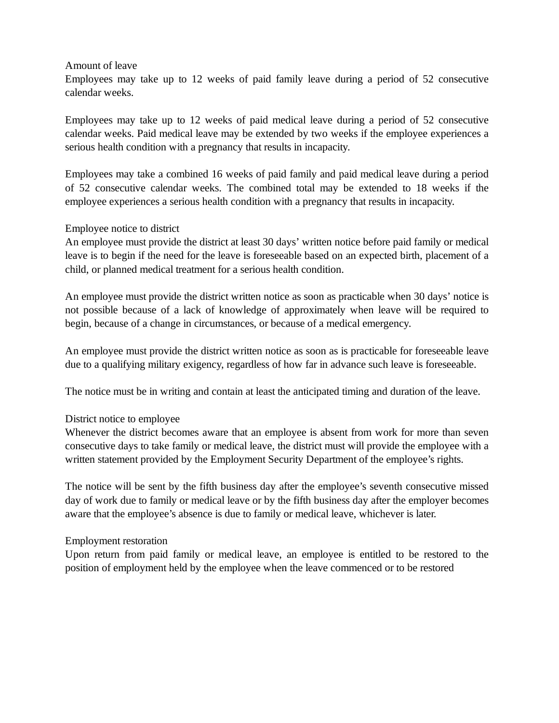Amount of leave

Employees may take up to 12 weeks of paid family leave during a period of 52 consecutive calendar weeks.

Employees may take up to 12 weeks of paid medical leave during a period of 52 consecutive calendar weeks. Paid medical leave may be extended by two weeks if the employee experiences a serious health condition with a pregnancy that results in incapacity.

Employees may take a combined 16 weeks of paid family and paid medical leave during a period of 52 consecutive calendar weeks. The combined total may be extended to 18 weeks if the employee experiences a serious health condition with a pregnancy that results in incapacity.

### Employee notice to district

An employee must provide the district at least 30 days' written notice before paid family or medical leave is to begin if the need for the leave is foreseeable based on an expected birth, placement of a child, or planned medical treatment for a serious health condition.

An employee must provide the district written notice as soon as practicable when 30 days' notice is not possible because of a lack of knowledge of approximately when leave will be required to begin, because of a change in circumstances, or because of a medical emergency.

An employee must provide the district written notice as soon as is practicable for foreseeable leave due to a qualifying military exigency, regardless of how far in advance such leave is foreseeable.

The notice must be in writing and contain at least the anticipated timing and duration of the leave.

### District notice to employee

Whenever the district becomes aware that an employee is absent from work for more than seven consecutive days to take family or medical leave, the district must will provide the employee with a written statement provided by the Employment Security Department of the employee's rights.

The notice will be sent by the fifth business day after the employee's seventh consecutive missed day of work due to family or medical leave or by the fifth business day after the employer becomes aware that the employee's absence is due to family or medical leave, whichever is later.

### Employment restoration

Upon return from paid family or medical leave, an employee is entitled to be restored to the position of employment held by the employee when the leave commenced or to be restored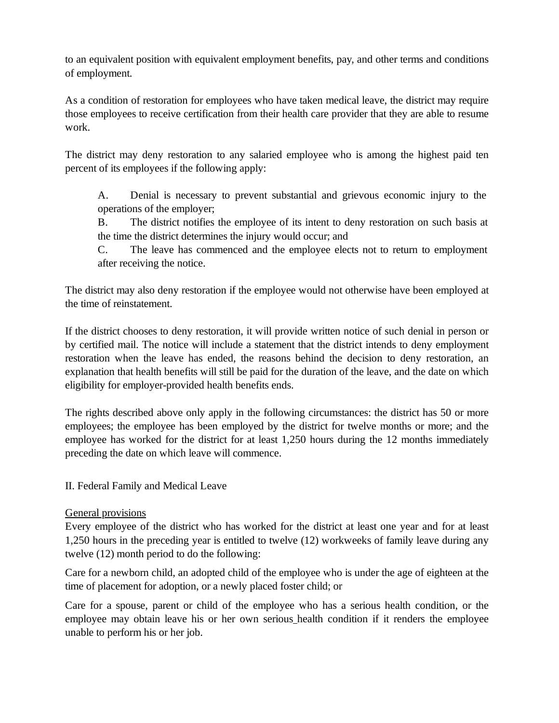to an equivalent position with equivalent employment benefits, pay, and other terms and conditions of employment.

As a condition of restoration for employees who have taken medical leave, the district may require those employees to receive certification from their health care provider that they are able to resume work.

The district may deny restoration to any salaried employee who is among the highest paid ten percent of its employees if the following apply:

A. Denial is necessary to prevent substantial and grievous economic injury to the operations of the employer;

B. The district notifies the employee of its intent to deny restoration on such basis at the time the district determines the injury would occur; and

C. The leave has commenced and the employee elects not to return to employment after receiving the notice.

The district may also deny restoration if the employee would not otherwise have been employed at the time of reinstatement.

If the district chooses to deny restoration, it will provide written notice of such denial in person or by certified mail. The notice will include a statement that the district intends to deny employment restoration when the leave has ended, the reasons behind the decision to deny restoration, an explanation that health benefits will still be paid for the duration of the leave, and the date on which eligibility for employer-provided health benefits ends.

The rights described above only apply in the following circumstances: the district has 50 or more employees; the employee has been employed by the district for twelve months or more; and the employee has worked for the district for at least 1,250 hours during the 12 months immediately preceding the date on which leave will commence.

## II. Federal Family and Medical Leave

## General provisions

Every employee of the district who has worked for the district at least one year and for at least 1,250 hours in the preceding year is entitled to twelve (12) workweeks of family leave during any twelve (12) month period to do the following:

Care for a newborn child, an adopted child of the employee who is under the age of eighteen at the time of placement for adoption, or a newly placed foster child; or

Care for a spouse, parent or child of the employee who has a serious health condition, or the employee may obtain leave his or her own serious health condition if it renders the employee unable to perform his or her job.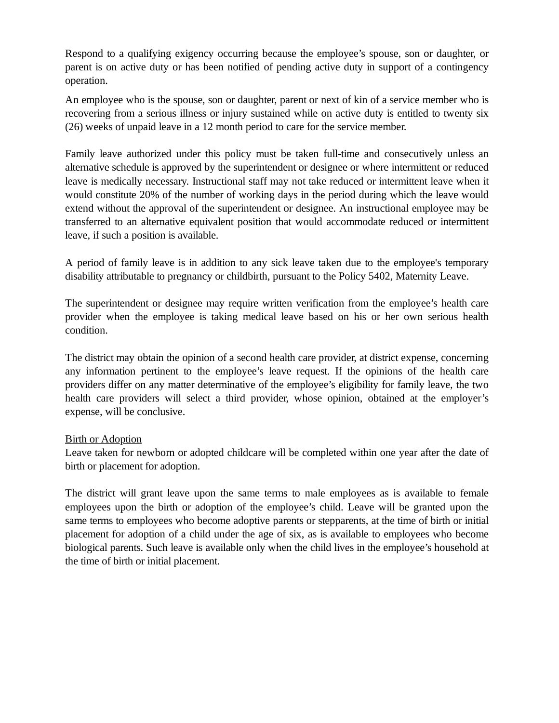Respond to a qualifying exigency occurring because the employee's spouse, son or daughter, or parent is on active duty or has been notified of pending active duty in support of a contingency operation.

An employee who is the spouse, son or daughter, parent or next of kin of a service member who is recovering from a serious illness or injury sustained while on active duty is entitled to twenty six (26) weeks of unpaid leave in a 12 month period to care for the service member.

Family leave authorized under this policy must be taken full-time and consecutively unless an alternative schedule is approved by the superintendent or designee or where intermittent or reduced leave is medically necessary. Instructional staff may not take reduced or intermittent leave when it would constitute 20% of the number of working days in the period during which the leave would extend without the approval of the superintendent or designee. An instructional employee may be transferred to an alternative equivalent position that would accommodate reduced or intermittent leave, if such a position is available.

A period of family leave is in addition to any sick leave taken due to the employee's temporary disability attributable to pregnancy or childbirth, pursuant to the Policy 5402, Maternity Leave.

The superintendent or designee may require written verification from the employee's health care provider when the employee is taking medical leave based on his or her own serious health condition.

The district may obtain the opinion of a second health care provider, at district expense, concerning any information pertinent to the employee's leave request. If the opinions of the health care providers differ on any matter determinative of the employee's eligibility for family leave, the two health care providers will select a third provider, whose opinion, obtained at the employer's expense, will be conclusive.

### Birth or Adoption

Leave taken for newborn or adopted childcare will be completed within one year after the date of birth or placement for adoption.

The district will grant leave upon the same terms to male employees as is available to female employees upon the birth or adoption of the employee's child. Leave will be granted upon the same terms to employees who become adoptive parents or stepparents, at the time of birth or initial placement for adoption of a child under the age of six, as is available to employees who become biological parents. Such leave is available only when the child lives in the employee's household at the time of birth or initial placement.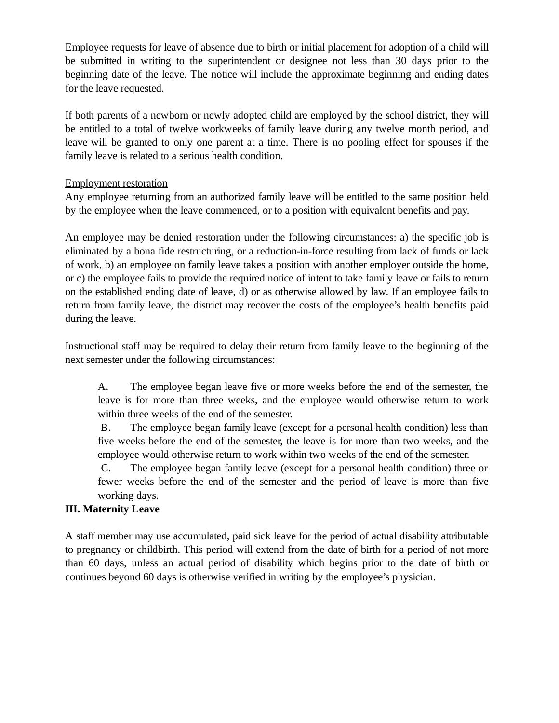Employee requests for leave of absence due to birth or initial placement for adoption of a child will be submitted in writing to the superintendent or designee not less than 30 days prior to the beginning date of the leave. The notice will include the approximate beginning and ending dates for the leave requested.

If both parents of a newborn or newly adopted child are employed by the school district, they will be entitled to a total of twelve workweeks of family leave during any twelve month period, and leave will be granted to only one parent at a time. There is no pooling effect for spouses if the family leave is related to a serious health condition.

### Employment restoration

Any employee returning from an authorized family leave will be entitled to the same position held by the employee when the leave commenced, or to a position with equivalent benefits and pay.

An employee may be denied restoration under the following circumstances: a) the specific job is eliminated by a bona fide restructuring, or a reduction-in-force resulting from lack of funds or lack of work, b) an employee on family leave takes a position with another employer outside the home, or c) the employee fails to provide the required notice of intent to take family leave or fails to return on the established ending date of leave, d) or as otherwise allowed by law. If an employee fails to return from family leave, the district may recover the costs of the employee's health benefits paid during the leave.

Instructional staff may be required to delay their return from family leave to the beginning of the next semester under the following circumstances:

A. The employee began leave five or more weeks before the end of the semester, the leave is for more than three weeks, and the employee would otherwise return to work within three weeks of the end of the semester.

B. The employee began family leave (except for a personal health condition) less than five weeks before the end of the semester, the leave is for more than two weeks, and the employee would otherwise return to work within two weeks of the end of the semester.

C. The employee began family leave (except for a personal health condition) three or fewer weeks before the end of the semester and the period of leave is more than five working days.

## **III. Maternity Leave**

A staff member may use accumulated, paid sick leave for the period of actual disability attributable to pregnancy or childbirth. This period will extend from the date of birth for a period of not more than 60 days, unless an actual period of disability which begins prior to the date of birth or continues beyond 60 days is otherwise verified in writing by the employee's physician.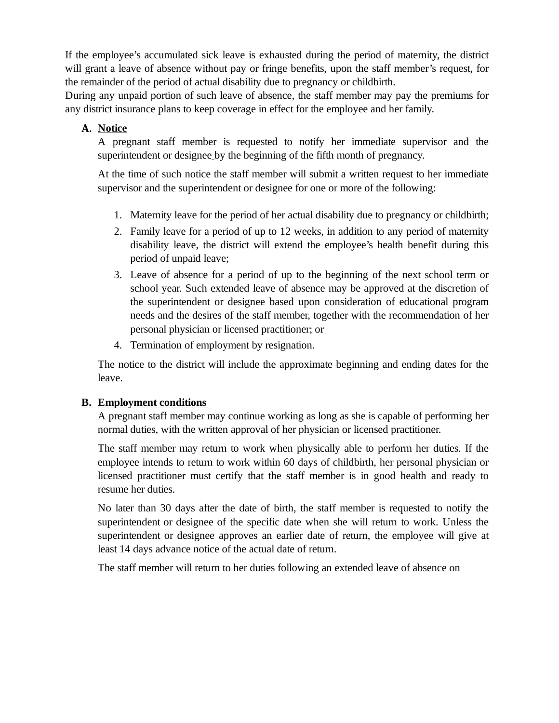If the employee's accumulated sick leave is exhausted during the period of maternity, the district will grant a leave of absence without pay or fringe benefits, upon the staff member's request, for the remainder of the period of actual disability due to pregnancy or childbirth.

During any unpaid portion of such leave of absence, the staff member may pay the premiums for any district insurance plans to keep coverage in effect for the employee and her family.

# **A. Notice**

A pregnant staff member is requested to notify her immediate supervisor and the superintendent or designee by the beginning of the fifth month of pregnancy.

At the time of such notice the staff member will submit a written request to her immediate supervisor and the superintendent or designee for one or more of the following:

- 1. Maternity leave for the period of her actual disability due to pregnancy or childbirth;
- Family leave for a period of up to 12 weeks, in addition to any period of maternity 2. disability leave, the district will extend the employee's health benefit during this period of unpaid leave;
- Leave of absence for a period of up to the beginning of the next school term or 3. school year. Such extended leave of absence may be approved at the discretion of the superintendent or designee based upon consideration of educational program needs and the desires of the staff member, together with the recommendation of her personal physician or licensed practitioner; or
- 4. Termination of employment by resignation.

The notice to the district will include the approximate beginning and ending dates for the leave.

## **B. Employment conditions**

A pregnant staff member may continue working as long as she is capable of performing her normal duties, with the written approval of her physician or licensed practitioner.

The staff member may return to work when physically able to perform her duties. If the employee intends to return to work within 60 days of childbirth, her personal physician or licensed practitioner must certify that the staff member is in good health and ready to resume her duties.

No later than 30 days after the date of birth, the staff member is requested to notify the superintendent or designee of the specific date when she will return to work. Unless the superintendent or designee approves an earlier date of return, the employee will give at least 14 days advance notice of the actual date of return.

The staff member will return to her duties following an extended leave of absence on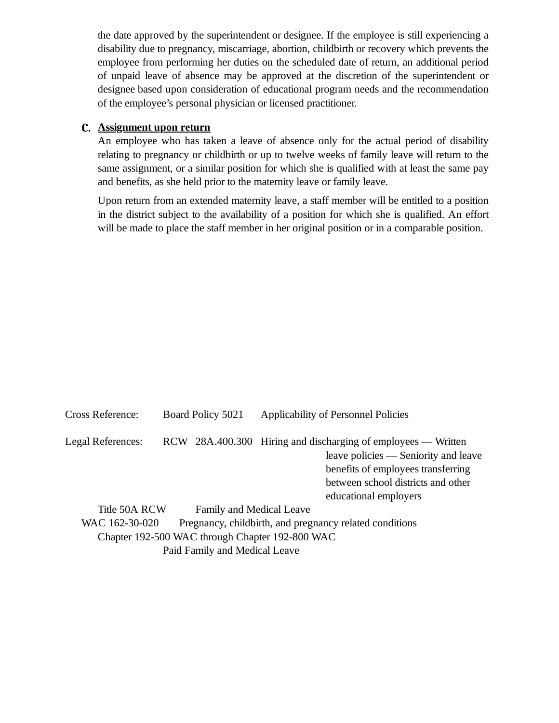the date approved by the superintendent or designee. If the employee is still experiencing a disability due to pregnancy, miscarriage, abortion, childbirth or recovery which prevents the employee from performing her duties on the scheduled date of return, an additional period of unpaid leave of absence may be approved at the discretion of the superintendent or designee based upon consideration of educational program needs and the recommendation of the employee's personal physician or licensed practitioner.

### **C. Assignment upon return**

An employee who has taken a leave of absence only for the actual period of disability relating to pregnancy or childbirth or up to twelve weeks of family leave will return to the same assignment, or a similar position for which she is qualified with at least the same pay and benefits, as she held prior to the maternity leave or family leave.

Upon return from an extended maternity leave, a staff member will be entitled to a position in the district subject to the availability of a position for which she is qualified. An effort will be made to place the staff member in her original position or in a comparable position.

| <b>Cross Reference:</b>                                                   |  | Board Policy 5021        | <b>Applicability of Personnel Policies</b>                                                                                                                                                                 |
|---------------------------------------------------------------------------|--|--------------------------|------------------------------------------------------------------------------------------------------------------------------------------------------------------------------------------------------------|
| Legal References:                                                         |  |                          | RCW 28A.400.300 Hiring and discharging of employees — Written<br>leave policies - Seniority and leave<br>benefits of employees transferring<br>between school districts and other<br>educational employers |
| Title 50A RCW                                                             |  | Family and Medical Leave |                                                                                                                                                                                                            |
| Pregnancy, childbirth, and pregnancy related conditions<br>WAC 162-30-020 |  |                          |                                                                                                                                                                                                            |
|                                                                           |  |                          | Chapter 192-500 WAC through Chapter 192-800 WAC                                                                                                                                                            |
| Paid Family and Medical Leave                                             |  |                          |                                                                                                                                                                                                            |